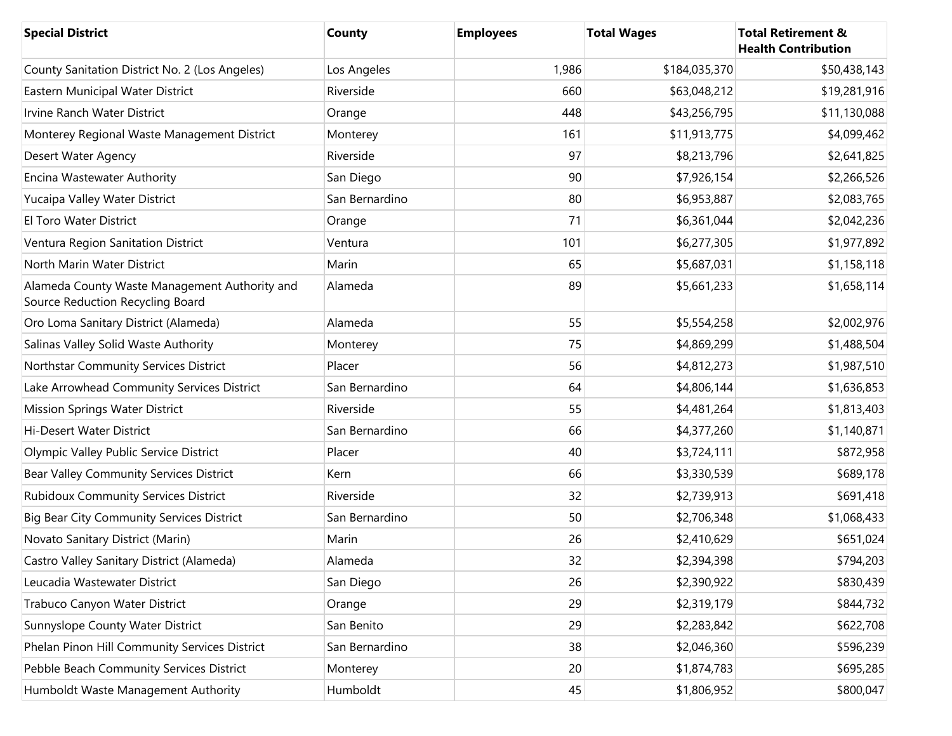| <b>Special District</b>                                                           | <b>County</b>  | <b>Employees</b> | <b>Total Wages</b> | <b>Total Retirement &amp;</b><br><b>Health Contribution</b> |
|-----------------------------------------------------------------------------------|----------------|------------------|--------------------|-------------------------------------------------------------|
| County Sanitation District No. 2 (Los Angeles)                                    | Los Angeles    | 1,986            | \$184,035,370      | \$50,438,143                                                |
| Eastern Municipal Water District                                                  | Riverside      | 660              | \$63,048,212       | \$19,281,916                                                |
| Irvine Ranch Water District                                                       | Orange         | 448              | \$43,256,795       | \$11,130,088                                                |
| Monterey Regional Waste Management District                                       | Monterey       | 161              | \$11,913,775       | \$4,099,462                                                 |
| Desert Water Agency                                                               | Riverside      | 97               | \$8,213,796        | \$2,641,825                                                 |
| Encina Wastewater Authority                                                       | San Diego      | 90               | \$7,926,154        | \$2,266,526                                                 |
| Yucaipa Valley Water District                                                     | San Bernardino | 80               | \$6,953,887        | \$2,083,765                                                 |
| El Toro Water District                                                            | Orange         | 71               | \$6,361,044        | \$2,042,236                                                 |
| Ventura Region Sanitation District                                                | Ventura        | 101              | \$6,277,305        | \$1,977,892                                                 |
| North Marin Water District                                                        | Marin          | 65               | \$5,687,031        | \$1,158,118                                                 |
| Alameda County Waste Management Authority and<br>Source Reduction Recycling Board | Alameda        | 89               | \$5,661,233        | \$1,658,114                                                 |
| Oro Loma Sanitary District (Alameda)                                              | Alameda        | 55               | \$5,554,258        | \$2,002,976                                                 |
| Salinas Valley Solid Waste Authority                                              | Monterey       | 75               | \$4,869,299        | \$1,488,504                                                 |
| Northstar Community Services District                                             | Placer         | 56               | \$4,812,273        | \$1,987,510                                                 |
| Lake Arrowhead Community Services District                                        | San Bernardino | 64               | \$4,806,144        | \$1,636,853                                                 |
| <b>Mission Springs Water District</b>                                             | Riverside      | 55               | \$4,481,264        | \$1,813,403                                                 |
| Hi-Desert Water District                                                          | San Bernardino | 66               | \$4,377,260        | \$1,140,871                                                 |
| Olympic Valley Public Service District                                            | Placer         | 40               | \$3,724,111        | \$872,958                                                   |
| Bear Valley Community Services District                                           | Kern           | 66               | \$3,330,539        | \$689,178                                                   |
| <b>Rubidoux Community Services District</b>                                       | Riverside      | 32               | \$2,739,913        | \$691,418                                                   |
| <b>Big Bear City Community Services District</b>                                  | San Bernardino | 50               | \$2,706,348        | \$1,068,433                                                 |
| Novato Sanitary District (Marin)                                                  | Marin          | 26               | \$2,410,629        | \$651,024                                                   |
| Castro Valley Sanitary District (Alameda)                                         | Alameda        | 32               | \$2,394,398        | \$794,203                                                   |
| Leucadia Wastewater District                                                      | San Diego      | 26               | \$2,390,922        | \$830,439                                                   |
| Trabuco Canyon Water District                                                     | Orange         | 29               | \$2,319,179        | \$844,732                                                   |
| Sunnyslope County Water District                                                  | San Benito     | 29               | \$2,283,842        | \$622,708                                                   |
| Phelan Pinon Hill Community Services District                                     | San Bernardino | 38               | \$2,046,360        | \$596,239                                                   |
| Pebble Beach Community Services District                                          | Monterey       | 20               | \$1,874,783        | \$695,285                                                   |
| Humboldt Waste Management Authority                                               | Humboldt       | 45               | \$1,806,952        | \$800,047                                                   |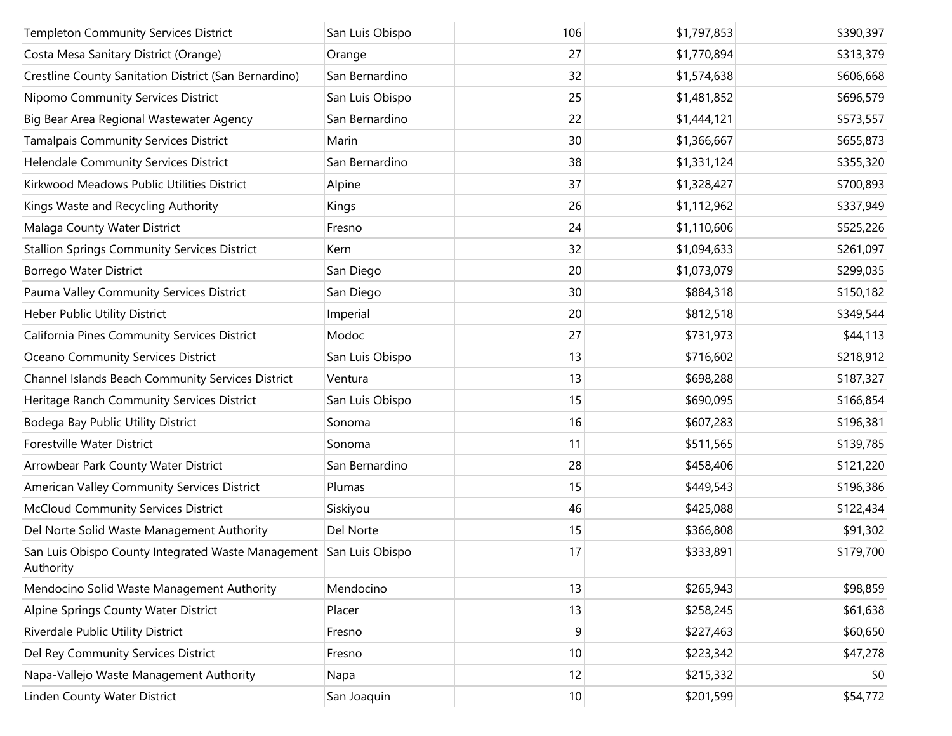| <b>Templeton Community Services District</b>                                    | San Luis Obispo | 106             | \$1,797,853 | \$390,397 |
|---------------------------------------------------------------------------------|-----------------|-----------------|-------------|-----------|
| Costa Mesa Sanitary District (Orange)                                           | Orange          | 27              | \$1,770,894 | \$313,379 |
| Crestline County Sanitation District (San Bernardino)                           | San Bernardino  | 32              | \$1,574,638 | \$606,668 |
| Nipomo Community Services District                                              | San Luis Obispo | 25              | \$1,481,852 | \$696,579 |
| Big Bear Area Regional Wastewater Agency                                        | San Bernardino  | 22              | \$1,444,121 | \$573,557 |
| <b>Tamalpais Community Services District</b>                                    | Marin           | 30              | \$1,366,667 | \$655,873 |
| Helendale Community Services District                                           | San Bernardino  | 38              | \$1,331,124 | \$355,320 |
| Kirkwood Meadows Public Utilities District                                      | Alpine          | 37              | \$1,328,427 | \$700,893 |
| Kings Waste and Recycling Authority                                             | Kings           | 26              | \$1,112,962 | \$337,949 |
| Malaga County Water District                                                    | Fresno          | 24              | \$1,110,606 | \$525,226 |
| <b>Stallion Springs Community Services District</b>                             | Kern            | 32              | \$1,094,633 | \$261,097 |
| Borrego Water District                                                          | San Diego       | 20              | \$1,073,079 | \$299,035 |
| Pauma Valley Community Services District                                        | San Diego       | 30              | \$884,318   | \$150,182 |
| Heber Public Utility District                                                   | Imperial        | 20              | \$812,518   | \$349,544 |
| California Pines Community Services District                                    | Modoc           | 27              | \$731,973   | \$44,113  |
| Oceano Community Services District                                              | San Luis Obispo | 13              | \$716,602   | \$218,912 |
| Channel Islands Beach Community Services District                               | Ventura         | 13              | \$698,288   | \$187,327 |
| Heritage Ranch Community Services District                                      | San Luis Obispo | 15              | \$690,095   | \$166,854 |
| Bodega Bay Public Utility District                                              | Sonoma          | 16              | \$607,283   | \$196,381 |
| Forestville Water District                                                      | Sonoma          | 11              | \$511,565   | \$139,785 |
| Arrowbear Park County Water District                                            | San Bernardino  | 28              | \$458,406   | \$121,220 |
| American Valley Community Services District                                     | Plumas          | 15              | \$449,543   | \$196,386 |
| <b>McCloud Community Services District</b>                                      | Siskiyou        | 46              | \$425,088   | \$122,434 |
| Del Norte Solid Waste Management Authority                                      | Del Norte       | 15              | \$366,808   | \$91,302  |
| San Luis Obispo County Integrated Waste Management San Luis Obispo<br>Authority |                 | 17              | \$333,891   | \$179,700 |
| Mendocino Solid Waste Management Authority                                      | Mendocino       | 13              | \$265,943   | \$98,859  |
| Alpine Springs County Water District                                            | Placer          | 13              | \$258,245   | \$61,638  |
| Riverdale Public Utility District                                               | Fresno          | 9               | \$227,463   | \$60,650  |
| Del Rey Community Services District                                             | Fresno          | 10              | \$223,342   | \$47,278  |
| Napa-Vallejo Waste Management Authority                                         | Napa            | 12              | \$215,332   | \$0       |
| Linden County Water District                                                    | San Joaquin     | 10 <sup>1</sup> | \$201,599   | \$54,772  |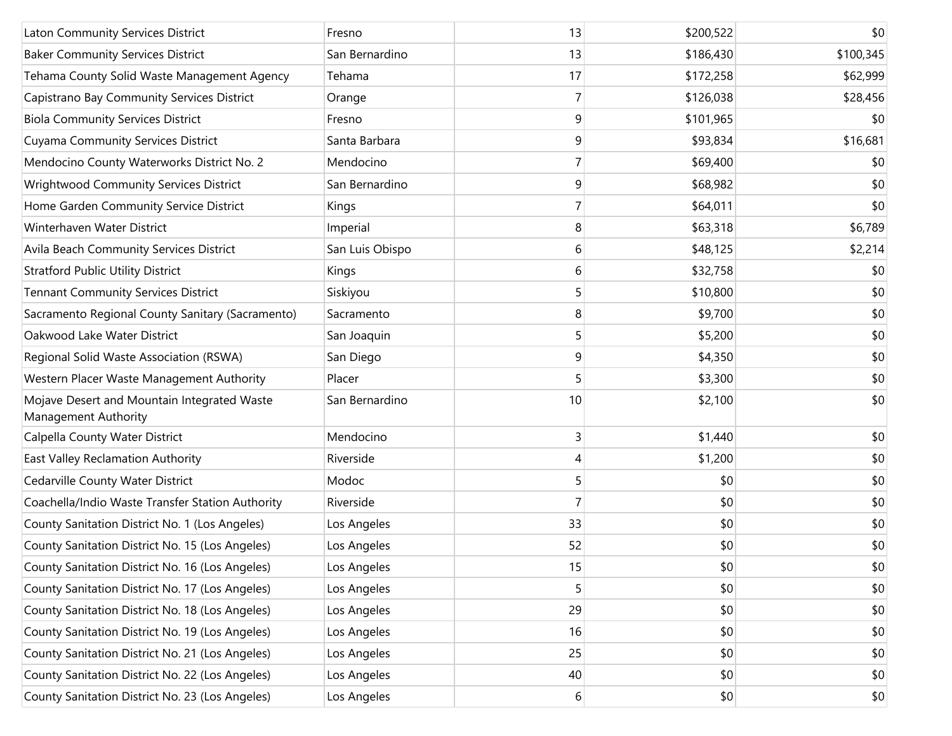|                                                                     |                 | 13 |           |           |
|---------------------------------------------------------------------|-----------------|----|-----------|-----------|
| Laton Community Services District                                   | Fresno          |    | \$200,522 | \$0       |
| <b>Baker Community Services District</b>                            | San Bernardino  | 13 | \$186,430 | \$100,345 |
| Tehama County Solid Waste Management Agency                         | Tehama          | 17 | \$172,258 | \$62,999  |
| Capistrano Bay Community Services District                          | Orange          | 7  | \$126,038 | \$28,456  |
| <b>Biola Community Services District</b>                            | Fresno          | 9  | \$101,965 | \$0       |
| Cuyama Community Services District                                  | Santa Barbara   | 9  | \$93,834  | \$16,681  |
| Mendocino County Waterworks District No. 2                          | Mendocino       | 7  | \$69,400  | \$0       |
| <b>Wrightwood Community Services District</b>                       | San Bernardino  | 9  | \$68,982  | \$0       |
| Home Garden Community Service District                              | Kings           | 7  | \$64,011  | \$0       |
| Winterhaven Water District                                          | Imperial        | 8  | \$63,318  | \$6,789   |
| Avila Beach Community Services District                             | San Luis Obispo | 6  | \$48,125  | \$2,214   |
| <b>Stratford Public Utility District</b>                            | Kings           | 6  | \$32,758  | \$0       |
| <b>Tennant Community Services District</b>                          | Siskiyou        | 5  | \$10,800  | \$0       |
| Sacramento Regional County Sanitary (Sacramento)                    | Sacramento      | 8  | \$9,700   | \$0       |
| Oakwood Lake Water District                                         | San Joaquin     | 5  | \$5,200   | \$0       |
| Regional Solid Waste Association (RSWA)                             | San Diego       | 9  | \$4,350   | \$0       |
| Western Placer Waste Management Authority                           | Placer          | 5  | \$3,300   | \$0       |
| Mojave Desert and Mountain Integrated Waste<br>Management Authority | San Bernardino  | 10 | \$2,100   | \$0       |
| Calpella County Water District                                      | Mendocino       | 3  | \$1,440   | \$0       |
| East Valley Reclamation Authority                                   | Riverside       | 4  | \$1,200   | \$0       |
| Cedarville County Water District                                    | Modoc           | 5  | \$0       | \$0       |
| Coachella/Indio Waste Transfer Station Authority                    | Riverside       | 7  | \$0       | \$0       |
| County Sanitation District No. 1 (Los Angeles)                      | Los Angeles     | 33 | \$0       | \$0       |
| County Sanitation District No. 15 (Los Angeles)                     | Los Angeles     | 52 | \$0       | \$0       |
| County Sanitation District No. 16 (Los Angeles)                     | Los Angeles     | 15 | \$0       | \$0       |
| County Sanitation District No. 17 (Los Angeles)                     | Los Angeles     | 5  | \$0       | \$0       |
| County Sanitation District No. 18 (Los Angeles)                     | Los Angeles     | 29 | \$0       | \$0       |
| County Sanitation District No. 19 (Los Angeles)                     | Los Angeles     | 16 | \$0       | \$0       |
| County Sanitation District No. 21 (Los Angeles)                     | Los Angeles     | 25 | \$0       | \$0       |
| County Sanitation District No. 22 (Los Angeles)                     | Los Angeles     | 40 | \$0       | \$0       |
| County Sanitation District No. 23 (Los Angeles)                     | Los Angeles     | 6  | \$0       | \$0       |